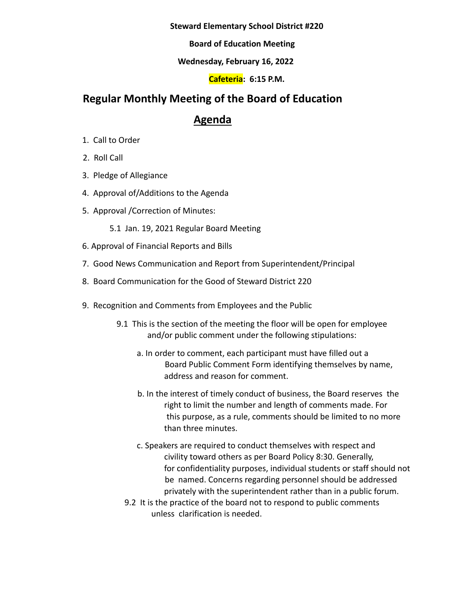**Steward Elementary School District #220**

**Board of Education Meeting**

### **Wednesday, February 16, 2022**

## **Cafeteria: 6:15 P.M.**

# **Regular Monthly Meeting of the Board of Education**

# **Agenda**

- 1. Call to Order
- 2. Roll Call
- 3. Pledge of Allegiance
- 4. Approval of/Additions to the Agenda
- 5. Approval /Correction of Minutes:
	- 5.1 Jan. 19, 2021 Regular Board Meeting
- 6. Approval of Financial Reports and Bills
- 7. Good News Communication and Report from Superintendent/Principal
- 8. Board Communication for the Good of Steward District 220
- 9. Recognition and Comments from Employees and the Public
	- 9.1 This is the section of the meeting the floor will be open for employee and/or public comment under the following stipulations:
		- a. In order to comment, each participant must have filled out a Board Public Comment Form identifying themselves by name, address and reason for comment.
		- b. In the interest of timely conduct of business, the Board reserves the right to limit the number and length of comments made. For this purpose, as a rule, comments should be limited to no more than three minutes.
		- c. Speakers are required to conduct themselves with respect and civility toward others as per Board Policy 8:30. Generally, for confidentiality purposes, individual students or staff should not be named. Concerns regarding personnel should be addressed privately with the superintendent rather than in a public forum.
		- 9.2 It is the practice of the board not to respond to public comments unless clarification is needed.